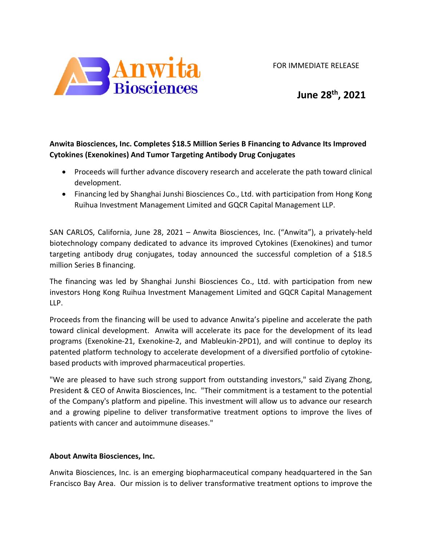FOR IMMEDIATE RELEASE



**June 28th , 2021**

## **Anwita Biosciences, Inc. Completes \$18.5 Million Series B Financing to Advance Its Improved Cytokines (Exenokines) And Tumor Targeting Antibody Drug Conjugates**

- Proceeds will further advance discovery research and accelerate the path toward clinical development.
- Financing led by Shanghai Junshi Biosciences Co., Ltd. with participation from Hong Kong Ruihua Investment Management Limited and GQCR Capital Management LLP.

SAN CARLOS, California, June 28, 2021 – Anwita Biosciences, Inc. ("Anwita"), a privately-held biotechnology company dedicated to advance its improved Cytokines (Exenokines) and tumor targeting antibody drug conjugates, today announced the successful completion of a \$18.5 million Series B financing.

The financing was led by Shanghai Junshi Biosciences Co., Ltd. with participation from new investors Hong Kong Ruihua Investment Management Limited and GQCR Capital Management LLP.

Proceeds from the financing will be used to advance Anwita's pipeline and accelerate the path toward clinical development. Anwita will accelerate its pace for the development of its lead programs (Exenokine-21, Exenokine-2, and Mableukin-2PD1), and will continue to deploy its patented platform technology to accelerate development of a diversified portfolio of cytokinebased products with improved pharmaceutical properties.

"We are pleased to have such strong support from outstanding investors," said Ziyang Zhong, President & CEO of Anwita Biosciences, Inc. "Their commitment is a testament to the potential of the Company's platform and pipeline. This investment will allow us to advance our research and a growing pipeline to deliver transformative treatment options to improve the lives of patients with cancer and autoimmune diseases."

## **About Anwita Biosciences, Inc.**

Anwita Biosciences, Inc. is an emerging biopharmaceutical company headquartered in the San Francisco Bay Area. Our mission is to deliver transformative treatment options to improve the